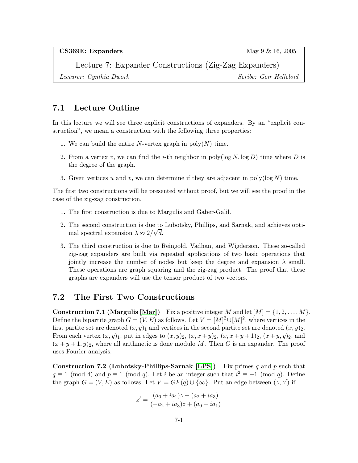CS369E: Expanders May 9 & 16, 2005

Lecture 7: Expander Constructions (Zig-Zag Expanders) Lecturer: Cynthia Dwork Scribe: Geir Helleloid

### 7.1 Lecture Outline

In this lecture we will see three explicit constructions of expanders. By an "explicit construction", we mean a construction with the following three properties:

- 1. We can build the entire N-vertex graph in  $poly(N)$  time.
- 2. From a vertex v, we can find the *i*-th neighbor in poly( $log N$ ,  $log D$ ) time where D is the degree of the graph.
- 3. Given vertices u and v, we can determine if they are adjacent in poly( $log N$ ) time.

The first two constructions will be presented without proof, but we will see the proof in the case of the zig-zag construction.

- 1. The first construction is due to Margulis and Gaber-Galil.
- 2. The second construction is due to Lubotsky, Phillips, and Sarnak, and achieves optimal spectral expansion  $\lambda \approx 2/\sqrt{d}$ .
- 3. The third construction is due to Reingold, Vadhan, and Wigderson. These so-called zig-zag expanders are built via repeated applications of two basic operations that jointly increase the number of nodes but keep the degree and expansion  $\lambda$  small. These operations are graph squaring and the zig-zag product. The proof that these graphs are expanders will use the tensor product of two vectors.

# 7.2 The First Two Constructions

**Construction 7.1 (Margulis [\[Mar\]](#page-5-0))** Fix a positive integer M and let  $[M] = \{1, 2, \ldots, M\}$ . Define the bipartite graph  $G = (V, E)$  as follows. Let  $V = [M]^2 \cup [M]^2$ , where vertices in the first partite set are denoted  $(x, y)_1$  and vertices in the second partite set are denoted  $(x, y)_2$ . From each vertex  $(x, y)_1$ , put in edges to  $(x, y)_2$ ,  $(x, x+y)_2$ ,  $(x, x+y+1)_2$ ,  $(x+y, y)_2$ , and  $(x+y+1,y)_2$ , where all arithmetic is done modulo M. Then G is an expander. The proof uses Fourier analysis.

**Construction 7.2 (Lubotsky-Phillips-Sarnak [\[LPS\]](#page-5-1))** Fix primes q and p such that  $q \equiv 1 \pmod{4}$  and  $p \equiv 1 \pmod{q}$ . Let i be an integer such that  $i^2 \equiv -1 \pmod{q}$ . Define the graph  $G = (V, E)$  as follows. Let  $V = GF(q) \cup {\infty}$ . Put an edge between  $(z, z')$  if

$$
z' = \frac{(a_0 + ia_1)z + (a_2 + ia_3)}{(-a_2 + ia_3)z + (a_0 - ia_1)}
$$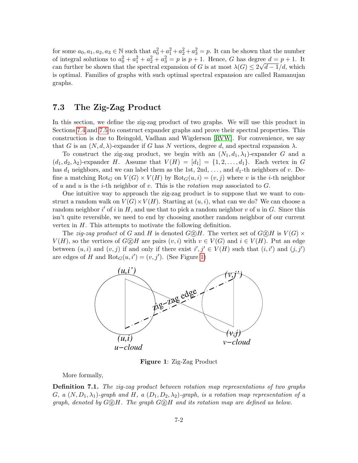for some  $a_0, a_1, a_2, a_3 \in \mathbb{N}$  such that  $a_0^2 + a_1^2 + a_2^2 + a_3^2 = p$ . It can be shown that the number of integral solutions to  $a_0^2 + a_1^2 + a_2^2 + a_3^2 = p$  is  $p + 1$ . Hence, G has degree  $d = p + 1$ . It can further be shown that the spectral expansion of G is at most  $\lambda(G) \leq 2\sqrt{d-1}/d$ , which is optimal. Families of graphs with such optimal spectral expansion are called Ramanujan graphs.

## 7.3 The Zig-Zag Product

In this section, we define the zig-zag product of two graphs. We will use this product in Sections [7.4](#page-2-0) and [7.5](#page-3-0) to construct expander graphs and prove their spectral properties. This construction is due to Reingold, Vadhan and Wigderson [\[RVW\]](#page-5-2). For convenience, we say that G is an  $(N, d, \lambda)$ -expander if G has N vertices, degree d, and spectral expansion  $\lambda$ .

To construct the zig-zag product, we begin with an  $(N_1, d_1, \lambda_1)$ -expander G and a  $(d_1, d_2, \lambda_2)$ -expander H. Assume that  $V(H) = [d_1] = \{1, 2, \ldots, d_1\}$ . Each vertex in G has  $d_1$  neighbors, and we can label them as the 1st, 2nd, ..., and  $d_1$ -th neighbors of v. Define a matching  $Rot_G$  on  $V(G) \times V(H)$  by  $Rot_G(u, i) = (v, j)$  where v is the *i*-th neighbor of u and u is the *i*-th neighbor of v. This is the *rotation map* associated to  $G$ .

One intuitive way to approach the zig-zag product is to suppose that we want to construct a random walk on  $V(G) \times V(H)$ . Starting at  $(u, i)$ , what can we do? We can choose a random neighbor  $i'$  of i in H, and use that to pick a random neighbor v of u in G. Since this isn't quite reversible, we need to end by choosing another random neighbor of our current vertex in H. This attempts to motivate the following definition.

The zig-zag product of G and H is denoted  $G \otimes H$ . The vertex set of  $G \otimes H$  is  $V(G) \times$  $V(H)$ , so the vertices of  $G \otimes H$  are pairs  $(v, i)$  with  $v \in V(G)$  and  $i \in V(H)$ . Put an edge between  $(u, i)$  and  $(v, j)$  if and only if there exist  $i', j' \in V(H)$  such that  $(i, i')$  and  $(j, j')$ are edges of H and  $Rot_G(u, i') = (v, j')$ . (See Figure [1\)](#page-1-0)



<span id="page-1-0"></span>Figure 1: Zig-Zag Product

More formally,

**Definition 7.1.** The zig-zag product between rotation map representations of two graphs G, a  $(N, D_1, \lambda_1)$ -graph and H, a  $(D_1, D_2, \lambda_2)$ -graph, is a rotation map representation of a graph, denoted by  $G \circled{Z} H$ . The graph  $G \circled{Z} H$  and its rotation map are defined as below.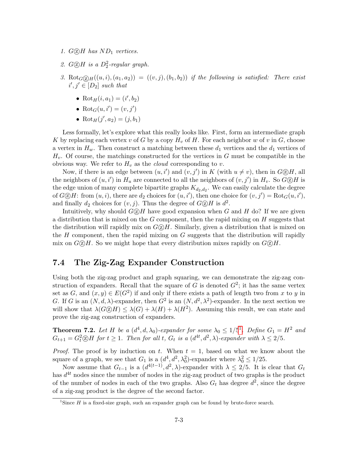- 1.  $G \circledZ H$  has  $ND_1$  vertices.
- 2.  $G \textcircled{2} H$  is a  $D_2^2$ -regular graph.
- 3. Rot<sub>G</sub> $(\Omega_H((u, i), (a_1, a_2)) = ((v, j), (b_1, b_2))$  if the following is satisfied: There exist  $i', j' \in [D_2]$  such that
	- Rot<sub>H</sub> $(i, a_1) = (i', b_2)$
	- Rot $_G(u, i') = (v, j')$
	- Rot<sub>H</sub> $(j', a_2) = (j, b_1)$

Less formally, let's explore what this really looks like. First, form an intermediate graph K by replacing each vertex v of G by a copy  $H_v$  of H. For each neighbor w of v in G, choose a vertex in  $H_w$ . Then construct a matching between these  $d_1$  vertices and the  $d_1$  vertices of  $H_v$ . Of course, the matchings constructed for the vertices in G must be compatible in the obvious way. We refer to  $H_v$  as the *cloud* corresponding to v.

Now, if there is an edge between  $(u, i')$  and  $(v, j')$  in K (with  $u \neq v$ ), then in  $G \otimes H$ , all the neighbors of  $(u, i')$  in  $H_u$  are connected to all the neighbors of  $(v, j')$  in  $H_v$ . So  $G \otimes H$  is the edge union of many complete bipartite graphs  $K_{d_2,d_2}$ . We can easily calculate the degree of  $G \otimes H$ : from  $(u, i)$ , there are  $d_2$  choices for  $(u, i')$ , then one choice for  $(v, j') = \text{Rot}_G(u, i')$ , and finally  $d_2$  choices for  $(v, j)$ . Thus the degree of  $G \otimes H$  is  $d^2$ .

Intuitively, why should  $G \oslash H$  have good expansion when G and H do? If we are given a distribution that is mixed on the  $G$  component, then the rapid mixing on  $H$  suggests that the distribution will rapidly mix on  $G \circled B H$ . Similarly, given a distribution that is mixed on the  $H$  component, then the rapid mixing on  $G$  suggests that the distribution will rapidly mix on  $G \circled R H$ . So we might hope that every distribution mixes rapidly on  $G \circled R H$ .

### <span id="page-2-0"></span>7.4 The Zig-Zag Expander Construction

Using both the zig-zag product and graph squaring, we can demonstrate the zig-zag construction of expanders. Recall that the square of G is denoted  $G^2$ ; it has the same vertex set as  $G$ , and  $(x, y) \in E(G^2)$  if and only if there exists a path of length two from x to y in G. If G is an  $(N, d, \lambda)$ -expander, then  $G^2$  is an  $(N, d^2, \lambda^2)$ -expander. In the next section we will show that  $\lambda(G \otimes H) \leq \lambda(G) + \lambda(H) + \lambda(H^2)$ . Assuming this result, we can state and prove the zig-zag construction of expanders.

**Theorem 7.2.** Let H be a  $(d^4, d, \lambda_0)$ -expander for some  $\lambda_0 \leq 1/5^1$  $\lambda_0 \leq 1/5^1$  $\lambda_0 \leq 1/5^1$ . Define  $G_1 = H^2$  and  $G_{t+1} = G_t^2 \otimes H$  for  $t \geq 1$ . Then for all t,  $G_t$  is a  $(d^{4t}, d^2, \lambda)$ -expander with  $\lambda \leq 2/5$ .

*Proof.* The proof is by induction on t. When  $t = 1$ , based on what we know about the square of a graph, we see that  $G_1$  is a  $(d^4, d^2, \lambda_0^2)$ -expander where  $\lambda_0^2 \leq 1/25$ .

Now assume that  $G_{t-1}$  is a  $(d^{4(t-1)}, d^2, \lambda)$ -expander with  $\lambda \leq 2/5$ . It is clear that  $G_t$ has  $d^{4t}$  nodes since the number of nodes in the zig-zag product of two graphs is the product of the number of nodes in each of the two graphs. Also  $G_t$  has degree  $d^2$ , since the degree of a zig-zag product is the degree of the second factor.

<span id="page-2-1"></span><sup>&</sup>lt;sup>1</sup>Since  $H$  is a fixed-size graph, such an expander graph can be found by brute-force search.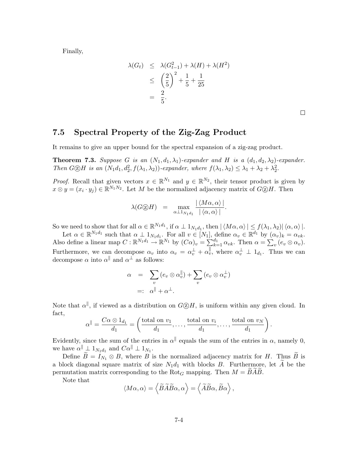Finally,

$$
\lambda(G_t) \leq \lambda(G_{t-1}^2) + \lambda(H) + \lambda(H^2)
$$
  
\n
$$
\leq \left(\frac{2}{5}\right)^2 + \frac{1}{5} + \frac{1}{25}
$$
  
\n
$$
= \frac{2}{5}.
$$

 $\Box$ 

## <span id="page-3-0"></span>7.5 Spectral Property of the Zig-Zag Product

It remains to give an upper bound for the spectral expansion of a zig-zag product.

**Theorem 7.3.** Suppose G is an  $(N_1, d_1, \lambda_1)$ -expander and H is a  $(d_1, d_2, \lambda_2)$ -expander. Then  $G \otimes H$  is an  $(N_1d_1, d_2^2, f(\lambda_1, \lambda_2))$ -expander, where  $f(\lambda_1, \lambda_2) \leq \lambda_1 + \lambda_2 + \lambda_2^2$ .

*Proof.* Recall that given vectors  $x \in \mathbb{R}^{N_1}$  and  $y \in \mathbb{R}^{N_2}$ , their tensor product is given by  $x \otimes y = (x_i \cdot y_j) \in \mathbb{R}^{N_1 N_2}$ . Let M be the normalized adjacency matrix of  $G \otimes H$ . Then

$$
\lambda(G \textcircled{2} H) = \max_{\alpha \perp 1_{N_1 d_1}} \frac{|\langle M\alpha, \alpha \rangle|}{|\langle \alpha, \alpha \rangle|}.
$$

So we need to show that for all  $\alpha \in \mathbb{R}^{N_1d_1}$ , if  $\alpha \perp 1_{N_1d_1}$ , then  $|\langle M\alpha, \alpha \rangle| \leq f(\lambda_1, \lambda_2)|\langle \alpha, \alpha \rangle|$ .

Let  $\alpha \in \mathbb{R}^{N_1 d_1}$  such that  $\alpha \perp 1_{N_1 d_1}$ . For all  $v \in [N_1]$ , define  $\alpha_v \in \mathbb{R}^{d_1}$  by  $(\alpha_v)_k = \alpha_{vk}$ . Also define a linear map  $C : \mathbb{R}^{N_1 d_1} \to \mathbb{R}^{N_1}$  by  $(C\alpha)_v = \sum_{k=1}^{d_1} \alpha_{vk}$ . Then  $\alpha = \sum_v (e_v \otimes \alpha_v)$ . Furthermore, we can decompose  $\alpha_v$  into  $\alpha_v = \alpha_v^{\perp} + \alpha_v^{\parallel}$ , where  $\alpha_v^{\perp} \perp 1_{d_1}$ . Thus we can decompose  $\alpha$  into  $\alpha^{\parallel}$  and  $\alpha^{\perp}$  as follows:

$$
\alpha = \sum_{v} (e_v \otimes \alpha_v^{\parallel}) + \sum_{v} (e_v \otimes \alpha_v^{\perp})
$$
  
=:  $\alpha^{\parallel} + \alpha^{\perp}$ .

Note that  $\alpha^{\parallel}$ , if viewed as a distribution on  $G \textcircled{2} H$ , is uniform within any given cloud. In fact,

$$
\alpha^{\parallel} = \frac{C\alpha \otimes 1_{d_1}}{d_1} = \left(\frac{\text{total on } v_1}{d_1}, \dots, \frac{\text{total on } v_i}{d_1}, \dots, \frac{\text{total on } v_N}{d_1}\right).
$$

Evidently, since the sum of the entries in  $\alpha^{\parallel}$  equals the sum of the entries in  $\alpha$ , namely 0, we have  $\alpha^{\parallel} \perp 1_{N_1d_1}$  and  $C\alpha^{\parallel} \perp 1_{N_1}$ .

Define  $\widetilde{B} = I_{N_1} \otimes B$ , where  $B$  is the normalized adjacency matrix for H. Thus  $\widetilde{B}$  is a block diagonal square matrix of size  $N_1d_1$  with blocks B. Furthermore, let A be the permutation matrix corresponding to the Rot<sub>G</sub> mapping. Then  $M = BAB$ .

Note that

$$
\langle M\alpha, \alpha \rangle = \langle \widetilde{B}\widetilde{A}\widetilde{B}\alpha, \alpha \rangle = \langle \widetilde{A}\widetilde{B}\alpha, \widetilde{B}\alpha \rangle,
$$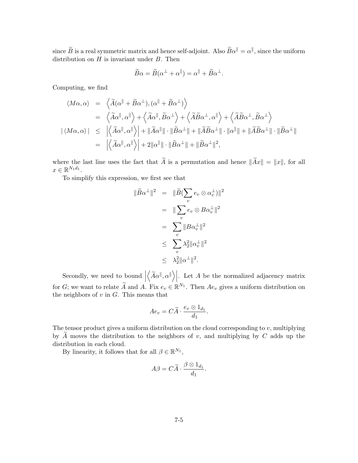since  $\widetilde{B}$  is a real symmetric matrix and hence self-adjoint. Also  $\widetilde{B}\alpha^{\parallel} = \alpha^{\parallel}$ , since the uniform distribution on  $H$  is invariant under  $B$ . Then

$$
\widetilde{B}\alpha = \widetilde{B}(\alpha^{\perp} + \alpha^{\parallel}) = \alpha^{\parallel} + \widetilde{B}\alpha^{\perp}.
$$

Computing, we find

$$
\langle M\alpha, \alpha \rangle = \langle \widetilde{A}(\alpha^{\parallel} + \widetilde{B}\alpha^{\perp}), (\alpha^{\parallel} + \widetilde{B}\alpha^{\perp}) \rangle
$$
  
\n
$$
= \langle \widetilde{A}\alpha^{\parallel}, \alpha^{\parallel} \rangle + \langle \widetilde{A}\alpha^{\parallel}, \widetilde{B}\alpha^{\perp} \rangle + \langle \widetilde{A}\widetilde{B}\alpha^{\perp}, \alpha^{\parallel} \rangle + \langle \widetilde{A}\widetilde{B}\alpha^{\perp}, \widetilde{B}\alpha^{\perp} \rangle
$$
  
\n
$$
|\langle M\alpha, \alpha \rangle| \leq |\langle \widetilde{A}\alpha^{\parallel}, \alpha^{\parallel} \rangle| + ||\widetilde{A}\alpha^{\parallel}|| \cdot ||\widetilde{B}\alpha^{\perp}|| + ||\widetilde{A}\widetilde{B}\alpha^{\perp}|| \cdot ||\alpha^{\parallel}|| + ||\widetilde{A}\widetilde{B}\alpha^{\perp}|| \cdot ||\widetilde{B}\alpha^{\perp}||
$$
  
\n
$$
= |\langle \widetilde{A}\alpha^{\parallel}, \alpha^{\parallel} \rangle| + 2||\alpha^{\parallel}|| \cdot ||\widetilde{B}\alpha^{\perp}|| + ||\widetilde{B}\alpha^{\perp}||^2,
$$

where the last line uses the fact that  $\widetilde{A}$  is a permutation and hence  $\|\widetilde{A}x\| = \|x\|$ , for all  $x \in \mathbb{R}^{N_1 d_1}$ .

To simplify this expression, we first see that

$$
\|\widetilde{B}\alpha^{\perp}\|^2 = \|\widetilde{B}(\sum_{v} e_{v} \otimes \alpha_{v}^{\perp})\|^2
$$
  
\n
$$
= \|\sum_{v} e_{v} \otimes B\alpha_{v}^{\perp}\|^2
$$
  
\n
$$
= \sum_{v} \|B\alpha_{v}^{\perp}\|^2
$$
  
\n
$$
\leq \sum_{v} \lambda_{2}^{2} \|\alpha_{v}^{\perp}\|^2
$$
  
\n
$$
\leq \lambda_{2}^{2} \|\alpha^{\perp}\|^2.
$$

Secondly, we need to bound  $\vert$  $\left\langle \widetilde{A}\alpha^{\parallel},\alpha^{\parallel}\right\rangle \right|$ . Let A be the normalized adjacency matrix for G; we want to relate  $\widetilde{A}$  and A. Fix  $e_v \in \mathbb{R}^{N_1}$ . Then  $Ae_v$  gives a uniform distribution on the neighbors of  $v$  in  $G$ . This means that

$$
Ae_v = C\widetilde{A} \cdot \frac{e_v \otimes 1_{d_1}}{d_1}.
$$

The tensor product gives a uniform distribution on the cloud corresponding to  $v$ , multiplying by  $\tilde{A}$  moves the distribution to the neighbors of v, and multiplying by C adds up the distribution in each cloud.

By linearity, it follows that for all  $\beta \in \mathbb{R}^{N_1}$ ,

$$
A\beta = C\widetilde{A} \cdot \frac{\beta \otimes 1_{d_1}}{d_1}.
$$